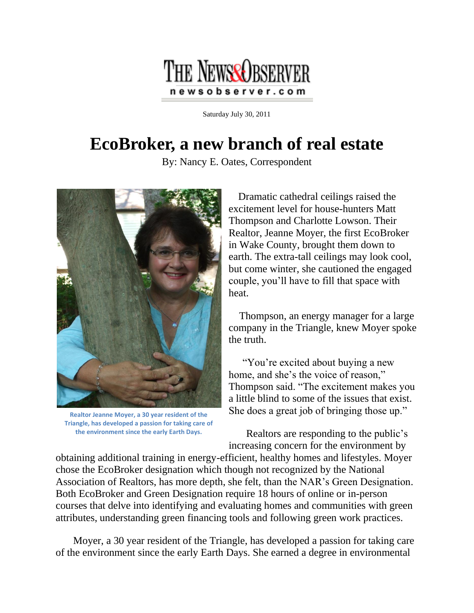

Saturday July 30, 2011

## **EcoBroker, a new branch of real estate**

By: Nancy E. Oates, Correspondent



**Realtor Jeanne Moyer, a 30 year resident of the Triangle, has developed a passion for taking care of the environment since the early Earth Days.**

Dramatic cathedral ceilings raised the excitement level for house-hunters Matt Thompson and Charlotte Lowson. Their Realtor, Jeanne Moyer, the first EcoBroker in Wake County, brought them down to earth. The extra-tall ceilings may look cool, but come winter, she cautioned the engaged couple, you'll have to fill that space with heat.

Thompson, an energy manager for a large company in the Triangle, knew Moyer spoke the truth.

"You're excited about buying a new home, and she's the voice of reason," Thompson said. "The excitement makes you a little blind to some of the issues that exist. She does a great job of bringing those up."

Realtors are responding to the public's increasing concern for the environment by

obtaining additional training in energy-efficient, healthy homes and lifestyles. Moyer chose the EcoBroker designation which though not recognized by the National Association of Realtors, has more depth, she felt, than the NAR's Green Designation. Both EcoBroker and Green Designation require 18 hours of online or in-person courses that delve into identifying and evaluating homes and communities with green attributes, understanding green financing tools and following green work practices.

Moyer, a 30 year resident of the Triangle, has developed a passion for taking care of the environment since the early Earth Days. She earned a degree in environmental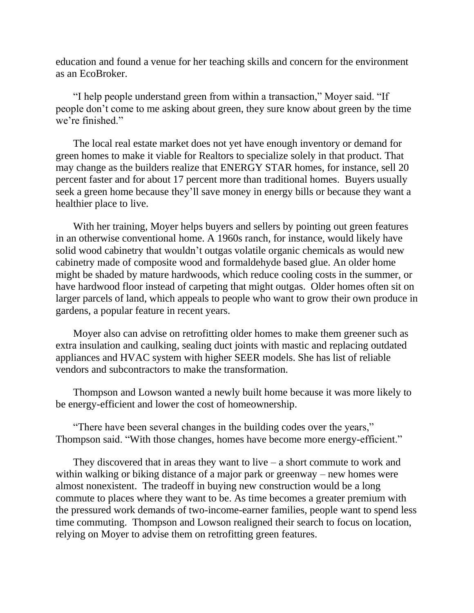education and found a venue for her teaching skills and concern for the environment as an EcoBroker.

"I help people understand green from within a transaction," Moyer said. "If people don't come to me asking about green, they sure know about green by the time we're finished."

The local real estate market does not yet have enough inventory or demand for green homes to make it viable for Realtors to specialize solely in that product. That may change as the builders realize that ENERGY STAR homes, for instance, sell 20 percent faster and for about 17 percent more than traditional homes. Buyers usually seek a green home because they'll save money in energy bills or because they want a healthier place to live.

With her training, Moyer helps buyers and sellers by pointing out green features in an otherwise conventional home. A 1960s ranch, for instance, would likely have solid wood cabinetry that wouldn't outgas volatile organic chemicals as would new cabinetry made of composite wood and formaldehyde based glue. An older home might be shaded by mature hardwoods, which reduce cooling costs in the summer, or have hardwood floor instead of carpeting that might outgas. Older homes often sit on larger parcels of land, which appeals to people who want to grow their own produce in gardens, a popular feature in recent years.

Moyer also can advise on retrofitting older homes to make them greener such as extra insulation and caulking, sealing duct joints with mastic and replacing outdated appliances and HVAC system with higher SEER models. She has list of reliable vendors and subcontractors to make the transformation.

Thompson and Lowson wanted a newly built home because it was more likely to be energy-efficient and lower the cost of homeownership.

"There have been several changes in the building codes over the years," Thompson said. "With those changes, homes have become more energy-efficient."

They discovered that in areas they want to live  $-$  a short commute to work and within walking or biking distance of a major park or greenway – new homes were almost nonexistent. The tradeoff in buying new construction would be a long commute to places where they want to be. As time becomes a greater premium with the pressured work demands of two-income-earner families, people want to spend less time commuting. Thompson and Lowson realigned their search to focus on location, relying on Moyer to advise them on retrofitting green features.